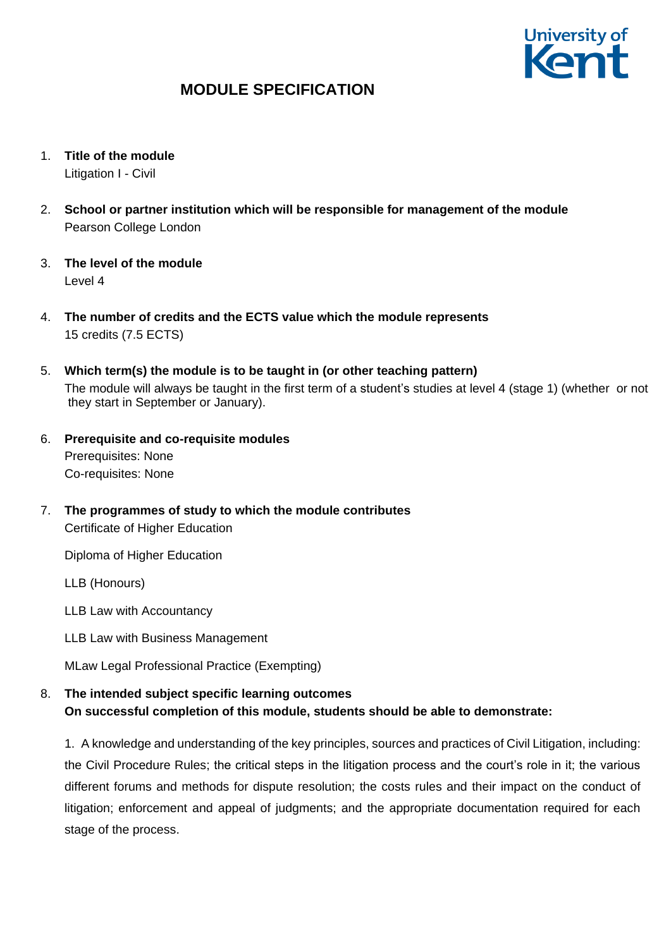

- 1. **Title of the module** Litigation I - Civil
- 2. **School or partner institution which will be responsible for management of the module** Pearson College London
- 3. **The level of the module**  Level 4
- 4. **The number of credits and the ECTS value which the module represents**  15 credits (7.5 ECTS)
- 5. **Which term(s) the module is to be taught in (or other teaching pattern)** The module will always be taught in the first term of a student's studies at level 4 (stage 1) (whether or not they start in September or January).
- 6. **Prerequisite and co-requisite modules** Prerequisites: None Co-requisites: None
- 7. **The programmes of study to which the module contributes** Certificate of Higher Education

Diploma of Higher Education

LLB (Honours)

LLB Law with Accountancy

LLB Law with Business Management

MLaw Legal Professional Practice (Exempting)

## 8. **The intended subject specific learning outcomes On successful completion of this module, students should be able to demonstrate:**

1. A knowledge and understanding of the key principles, sources and practices of Civil Litigation, including: the Civil Procedure Rules; the critical steps in the litigation process and the court's role in it; the various different forums and methods for dispute resolution; the costs rules and their impact on the conduct of litigation; enforcement and appeal of judgments; and the appropriate documentation required for each stage of the process.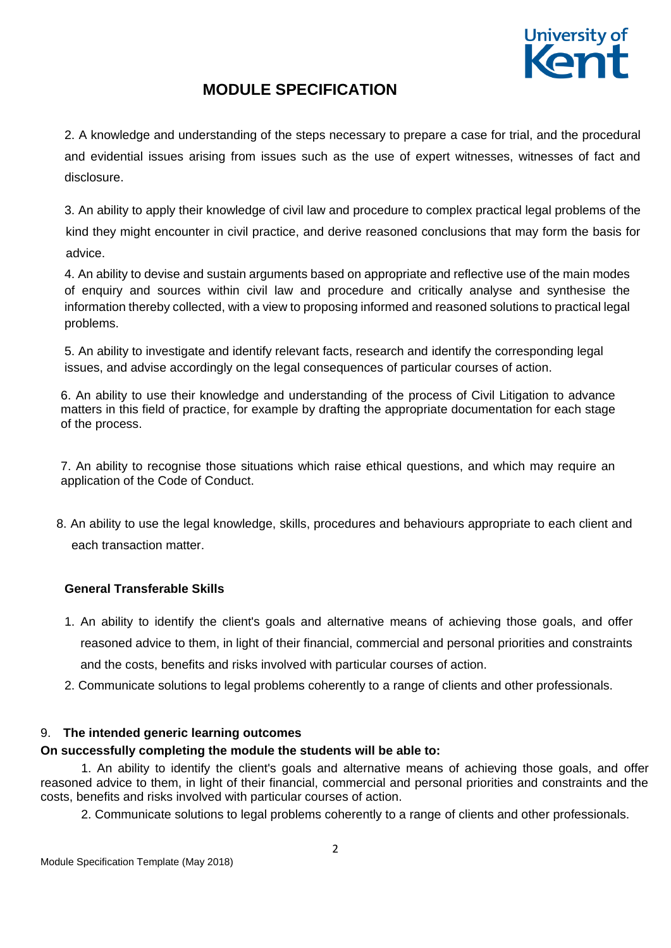

2. A knowledge and understanding of the steps necessary to prepare a case for trial, and the procedural and evidential issues arising from issues such as the use of expert witnesses, witnesses of fact and disclosure.

3. An ability to apply their knowledge of civil law and procedure to complex practical legal problems of the kind they might encounter in civil practice, and derive reasoned conclusions that may form the basis for advice.

4. An ability to devise and sustain arguments based on appropriate and reflective use of the main modes of enquiry and sources within civil law and procedure and critically analyse and synthesise the information thereby collected, with a view to proposing informed and reasoned solutions to practical legal problems.

5. An ability to investigate and identify relevant facts, research and identify the corresponding legal issues, and advise accordingly on the legal consequences of particular courses of action.

6. An ability to use their knowledge and understanding of the process of Civil Litigation to advance matters in this field of practice, for example by drafting the appropriate documentation for each stage of the process.

7. An ability to recognise those situations which raise ethical questions, and which may require an application of the Code of Conduct.

 8. An ability to use the legal knowledge, skills, procedures and behaviours appropriate to each client and each transaction matter.

## **General Transferable Skills**

- 1. An ability to identify the client's goals and alternative means of achieving those goals, and offer reasoned advice to them, in light of their financial, commercial and personal priorities and constraints and the costs, benefits and risks involved with particular courses of action.
- 2. Communicate solutions to legal problems coherently to a range of clients and other professionals.

## 9. **The intended generic learning outcomes**

## **On successfully completing the module the students will be able to:**

1. An ability to identify the client's goals and alternative means of achieving those goals, and offer reasoned advice to them, in light of their financial, commercial and personal priorities and constraints and the costs, benefits and risks involved with particular courses of action.

2. Communicate solutions to legal problems coherently to a range of clients and other professionals.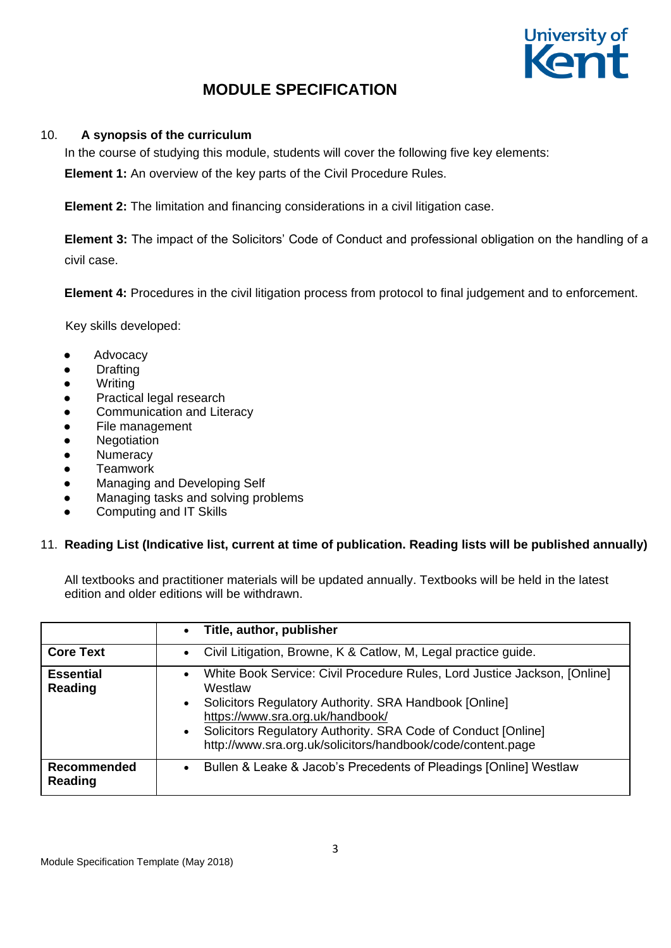

## 10. **A synopsis of the curriculum**

In the course of studying this module, students will cover the following five key elements:

**Element 1:** An overview of the key parts of the Civil Procedure Rules.

**Element 2:** The limitation and financing considerations in a civil litigation case.

**Element 3:** The impact of the Solicitors' Code of Conduct and professional obligation on the handling of a civil case.

**Element 4:** Procedures in the civil litigation process from protocol to final judgement and to enforcement.

Key skills developed:

- Advocacy
- **Drafting**
- **Writing**
- Practical legal research
- Communication and Literacy
- File management
- **Negotiation**
- **Numeracy**
- **Teamwork**
- **Managing and Developing Self**
- Managing tasks and solving problems
- Computing and IT Skills

#### 11. **Reading List (Indicative list, current at time of publication. Reading lists will be published annually)**

All textbooks and practitioner materials will be updated annually. Textbooks will be held in the latest edition and older editions will be withdrawn.

|                               | Title, author, publisher<br>$\bullet$                                                                                                                                                                                                                                                                                                                     |
|-------------------------------|-----------------------------------------------------------------------------------------------------------------------------------------------------------------------------------------------------------------------------------------------------------------------------------------------------------------------------------------------------------|
| <b>Core Text</b>              | Civil Litigation, Browne, K & Catlow, M, Legal practice guide.<br>$\bullet$                                                                                                                                                                                                                                                                               |
| <b>Essential</b><br>Reading   | White Book Service: Civil Procedure Rules, Lord Justice Jackson, [Online]<br>$\bullet$<br>Westlaw<br>Solicitors Regulatory Authority. SRA Handbook [Online]<br>$\bullet$<br>https://www.sra.org.uk/handbook/<br>Solicitors Regulatory Authority. SRA Code of Conduct [Online]<br>$\bullet$<br>http://www.sra.org.uk/solicitors/handbook/code/content.page |
| <b>Recommended</b><br>Reading | Bullen & Leake & Jacob's Precedents of Pleadings [Online] Westlaw<br>$\bullet$                                                                                                                                                                                                                                                                            |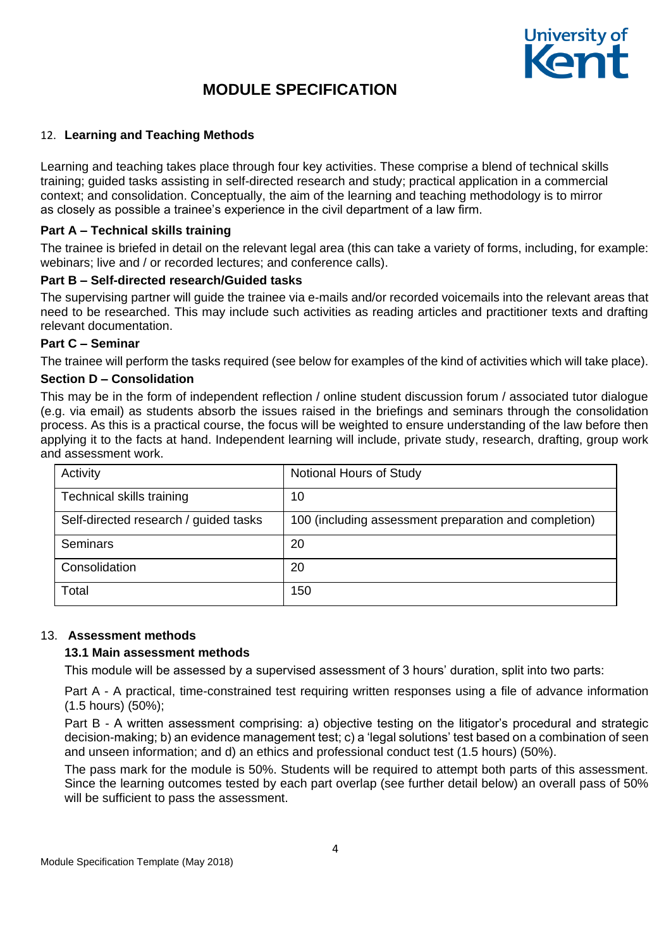

### 12. **Learning and Teaching Methods**

Learning and teaching takes place through four key activities. These comprise a blend of technical skills training; guided tasks assisting in self-directed research and study; practical application in a commercial context; and consolidation. Conceptually, the aim of the learning and teaching methodology is to mirror as closely as possible a trainee's experience in the civil department of a law firm.

#### **Part A – Technical skills training**

The trainee is briefed in detail on the relevant legal area (this can take a variety of forms, including, for example: webinars; live and / or recorded lectures; and conference calls).

### **Part B – Self-directed research/Guided tasks**

The supervising partner will guide the trainee via e-mails and/or recorded voicemails into the relevant areas that need to be researched. This may include such activities as reading articles and practitioner texts and drafting relevant documentation.

#### **Part C – Seminar**

The trainee will perform the tasks required (see below for examples of the kind of activities which will take place).

### **Section D – Consolidation**

This may be in the form of independent reflection / online student discussion forum / associated tutor dialogue (e.g. via email) as students absorb the issues raised in the briefings and seminars through the consolidation process. As this is a practical course, the focus will be weighted to ensure understanding of the law before then applying it to the facts at hand. Independent learning will include, private study, research, drafting, group work and assessment work.

| Activity                              | Notional Hours of Study                               |
|---------------------------------------|-------------------------------------------------------|
| Technical skills training             | 10                                                    |
| Self-directed research / guided tasks | 100 (including assessment preparation and completion) |
| Seminars                              | 20                                                    |
| Consolidation                         | 20                                                    |
| Total                                 | 150                                                   |

### 13. **Assessment methods**

#### **13.1 Main assessment methods**

This module will be assessed by a supervised assessment of 3 hours' duration, split into two parts:

Part A - A practical, time-constrained test requiring written responses using a file of advance information (1.5 hours) (50%);

Part B - A written assessment comprising: a) objective testing on the litigator's procedural and strategic decision-making; b) an evidence management test; c) a 'legal solutions' test based on a combination of seen and unseen information; and d) an ethics and professional conduct test (1.5 hours) (50%).

The pass mark for the module is 50%. Students will be required to attempt both parts of this assessment. Since the learning outcomes tested by each part overlap (see further detail below) an overall pass of 50% will be sufficient to pass the assessment.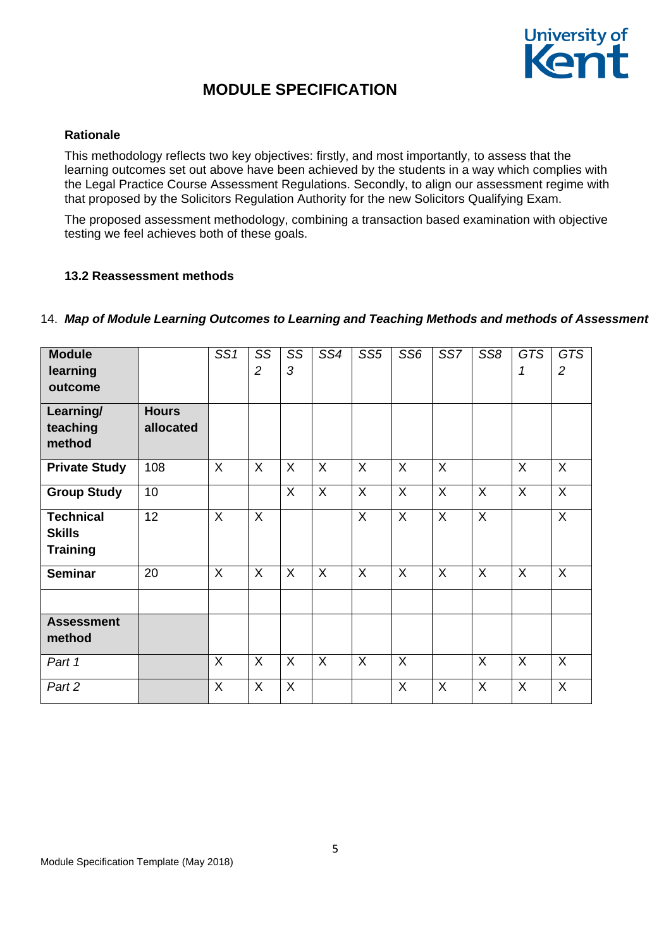

#### **Rationale**

This methodology reflects two key objectives: firstly, and most importantly, to assess that the learning outcomes set out above have been achieved by the students in a way which complies with the Legal Practice Course Assessment Regulations. Secondly, to align our assessment regime with that proposed by the Solicitors Regulation Authority for the new Solicitors Qualifying Exam.

The proposed assessment methodology, combining a transaction based examination with objective testing we feel achieves both of these goals.

#### **13.2 Reassessment methods**

#### 14. *Map of Module Learning Outcomes to Learning and Teaching Methods and methods of Assessment*

| <b>Module</b>        |              | SS1     | SS                        | SS           | SS4     | SS <sub>5</sub> | SS <sub>6</sub> | SS7      | SS <sub>8</sub> | <b>GTS</b> | <b>GTS</b>     |
|----------------------|--------------|---------|---------------------------|--------------|---------|-----------------|-----------------|----------|-----------------|------------|----------------|
| learning             |              |         | $\overline{c}$            | 3            |         |                 |                 |          |                 | 1          | $\overline{2}$ |
| outcome              |              |         |                           |              |         |                 |                 |          |                 |            |                |
| Learning/            | <b>Hours</b> |         |                           |              |         |                 |                 |          |                 |            |                |
| teaching             | allocated    |         |                           |              |         |                 |                 |          |                 |            |                |
| method               |              |         |                           |              |         |                 |                 |          |                 |            |                |
| <b>Private Study</b> | 108          | X       | $\sf X$                   | $\mathsf{X}$ | X       | $\sf X$         | $\sf X$         | $\times$ |                 | X          | $\times$       |
| <b>Group Study</b>   | 10           |         |                           | $\mathsf{X}$ | X       | $\sf X$         | $\sf X$         | $\sf X$  | $\sf X$         | $\sf X$    | $\sf X$        |
| <b>Technical</b>     | 12           | $\sf X$ | $\mathsf{X}$              |              |         | $\mathsf{X}$    | $\mathsf{X}$    | $\sf X$  | $\overline{X}$  |            | $\overline{X}$ |
| <b>Skills</b>        |              |         |                           |              |         |                 |                 |          |                 |            |                |
| <b>Training</b>      |              |         |                           |              |         |                 |                 |          |                 |            |                |
| <b>Seminar</b>       | 20           | X       | $\overline{X}$            | $\mathsf{X}$ | X       | $\sf X$         | $\sf X$         | $\sf X$  | $\sf X$         | X          | X              |
|                      |              |         |                           |              |         |                 |                 |          |                 |            |                |
| <b>Assessment</b>    |              |         |                           |              |         |                 |                 |          |                 |            |                |
| method               |              |         |                           |              |         |                 |                 |          |                 |            |                |
| Part 1               |              | X       | $\sf X$                   | $\mathsf{X}$ | $\sf X$ | $\sf X$         | $\sf X$         |          | $\sf X$         | X          | $\times$       |
| Part 2               |              | X       | $\boldsymbol{\mathsf{X}}$ | X            |         |                 | X               | X        | $\sf X$         | X          | $\sf X$        |